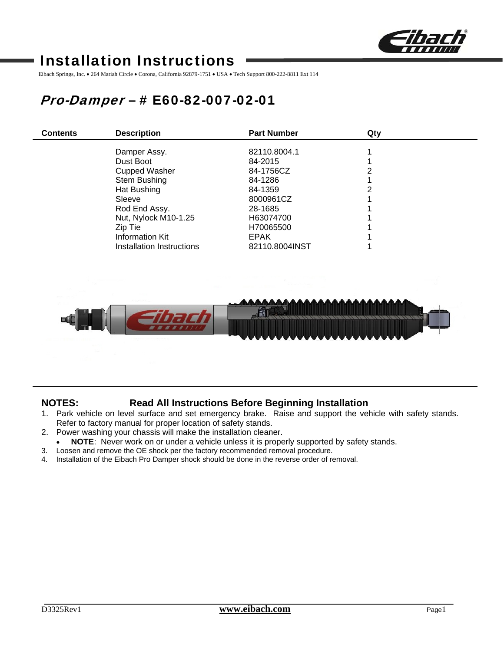

# Installation Instructions

Eibach Springs, Inc. • 264 Mariah Circle • Corona, California 92879-1751 • USA • Tech Support 800-222-8811 Ext 114

# Pro-Damper – # E60-82-007-02-01

| <b>Contents</b> | <b>Description</b>        | <b>Part Number</b> | Qty |  |
|-----------------|---------------------------|--------------------|-----|--|
|                 |                           |                    |     |  |
|                 | Damper Assy.              | 82110.8004.1       |     |  |
|                 | Dust Boot                 | 84-2015            |     |  |
|                 | <b>Cupped Washer</b>      | 84-1756CZ          | っ   |  |
|                 | Stem Bushing              | 84-1286            |     |  |
|                 | Hat Bushing               | 84-1359            |     |  |
|                 | Sleeve                    | 8000961CZ          |     |  |
|                 | Rod End Assy.             | 28-1685            |     |  |
|                 | Nut, Nylock M10-1.25      | H63074700          |     |  |
|                 | Zip Tie                   | H70065500          |     |  |
|                 | Information Kit           | <b>EPAK</b>        |     |  |
|                 | Installation Instructions | 82110.8004INST     |     |  |



## **NOTES: Read All Instructions Before Beginning Installation**

- 1. Park vehicle on level surface and set emergency brake. Raise and support the vehicle with safety stands. Refer to factory manual for proper location of safety stands.
- 2. Power washing your chassis will make the installation cleaner.
- **NOTE**: Never work on or under a vehicle unless it is properly supported by safety stands.
- 3. Loosen and remove the OE shock per the factory recommended removal procedure.
- 4. Installation of the Eibach Pro Damper shock should be done in the reverse order of removal.